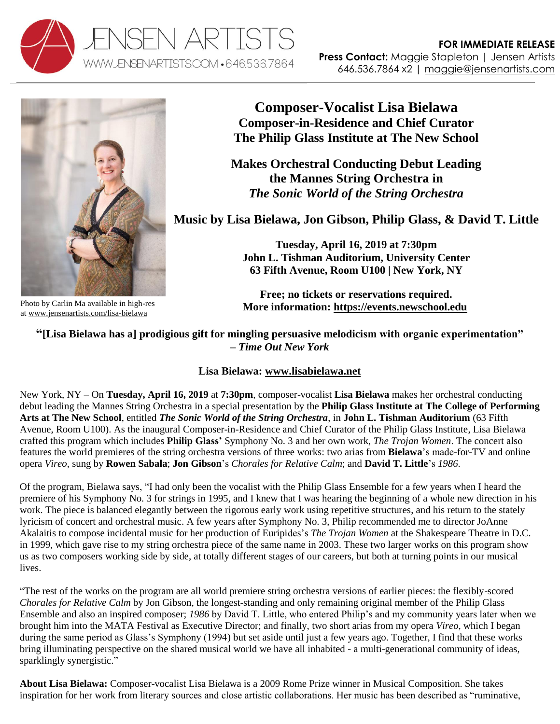



**Composer-Vocalist Lisa Bielawa Composer-in-Residence and Chief Curator The Philip Glass Institute at The New School**

**Makes Orchestral Conducting Debut Leading the Mannes String Orchestra in** *The Sonic World of the String Orchestra*

**Music by Lisa Bielawa, Jon Gibson, Philip Glass, & David T. Little**

**Tuesday, April 16, 2019 at 7:30pm John L. Tishman Auditorium, University Center 63 Fifth Avenue, Room U100 | New York, NY**

**Free; no tickets or reservations required. More information: [https://events.newschool.edu](https://events.newschool.edu/event/the_sonic_world_of_the_string_orchestra#.XIFxWVNKiT-)**

**"[Lisa Bielawa has a] prodigious gift for mingling persuasive melodicism with organic experimentation" –** *Time Out New York*

## **Lisa Bielawa: [www.lisabielawa.net](http://www.lisabielawa.net/)**

New York, NY – On **Tuesday, April 16, 2019** at **7:30pm**, composer-vocalist **Lisa Bielawa** makes her orchestral conducting debut leading the Mannes String Orchestra in a special presentation by the **Philip Glass Institute at The College of Performing Arts at The New School**, entitled *The Sonic World of the String Orchestra*, in **John L. Tishman Auditorium** (63 Fifth Avenue, Room U100). As the inaugural Composer-in-Residence and Chief Curator of the Philip Glass Institute, Lisa Bielawa crafted this program which includes **Philip Glass'** Symphony No. 3 and her own work, *The Trojan Women*. The concert also features the world premieres of the string orchestra versions of three works: two arias from **Bielawa**'s made-for-TV and online opera *Vireo*, sung by **Rowen Sabala**; **Jon Gibson**'s *Chorales for Relative Calm*; and **David T. Little**'s *1986*.

Of the program, Bielawa says, "I had only been the vocalist with the Philip Glass Ensemble for a few years when I heard the premiere of his Symphony No. 3 for strings in 1995, and I knew that I was hearing the beginning of a whole new direction in his work. The piece is balanced elegantly between the rigorous early work using repetitive structures, and his return to the stately lyricism of concert and orchestral music. A few years after Symphony No. 3, Philip recommended me to director JoAnne Akalaitis to compose incidental music for her production of Euripides's *The Trojan Women* at the Shakespeare Theatre in D.C. in 1999, which gave rise to my string orchestra piece of the same name in 2003. These two larger works on this program show us as two composers working side by side, at totally different stages of our careers, but both at turning points in our musical lives.

"The rest of the works on the program are all world premiere string orchestra versions of earlier pieces: the flexibly-scored *Chorales for Relative Calm* by Jon Gibson, the longest-standing and only remaining original member of the Philip Glass Ensemble and also an inspired composer; *1986* by David T. Little, who entered Philip's and my community years later when we brought him into the MATA Festival as Executive Director; and finally, two short arias from my opera *Vireo*, which I began during the same period as Glass's Symphony (1994) but set aside until just a few years ago. Together, I find that these works bring illuminating perspective on the shared musical world we have all inhabited - a multi-generational community of ideas, sparklingly synergistic."

**About Lisa Bielawa:** Composer-vocalist Lisa Bielawa is a 2009 Rome Prize winner in Musical Composition. She takes inspiration for her work from literary sources and close artistic collaborations. Her music has been described as "ruminative,

Photo by Carlin Ma available in high-res at [www.jensenartists.com/lisa-bielawa](http://www.jensenartists.com/lisa-bielawa)